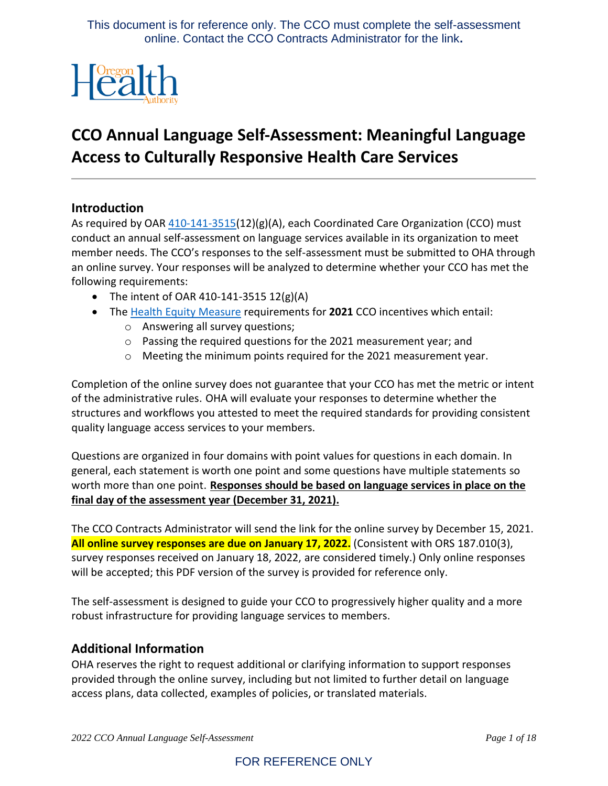

# **CCO Annual Language Self-Assessment: Meaningful Language Access to Culturally Responsive Health Care Services**

#### **Introduction**

As required by OAR [410-141-3515\(](https://secure.sos.state.or.us/oard/view.action?ruleNumber=410-141-3515)12)(g)(A), each Coordinated Care Organization (CCO) must conduct an annual self-assessment on language services available in its organization to meet member needs. The CCO's responses to the self-assessment must be submitted to OHA through an online survey. Your responses will be analyzed to determine whether your CCO has met the following requirements:

- The intent of OAR 410-141-3515  $12(g)(A)$
- The [Health Equity](https://www.oregon.gov/oha/HPA/ANALYTICS/CCOMetrics/2021-2023-specs-(Health-Equity-Meaningful-Access)-20201229.pdf) Measure requirements for **2021** CCO incentives which entail:
	- o Answering all survey questions;
	- o Passing the required questions for the 2021 measurement year; and
	- o Meeting the minimum points required for the 2021 measurement year.

Completion of the online survey does not guarantee that your CCO has met the metric or intent of the administrative rules. OHA will evaluate your responses to determine whether the structures and workflows you attested to meet the required standards for providing consistent quality language access services to your members.

Questions are organized in four domains with point values for questions in each domain. In general, each statement is worth one point and some questions have multiple statements so worth more than one point. **Responses should be based on language services in place on the final day of the assessment year (December 31, 2021).** 

The CCO Contracts Administrator will send the link for the online survey by December 15, 2021. **All online survey responses are due on January 17, 2022.** (Consistent with ORS 187.010(3), survey responses received on January 18, 2022, are considered timely.) Only online responses will be accepted; this PDF version of the survey is provided for reference only.

The self-assessment is designed to guide your CCO to progressively higher quality and a more robust infrastructure for providing language services to members.

#### **Additional Information**

OHA reserves the right to request additional or clarifying information to support responses provided through the online survey, including but not limited to further detail on language access plans, data collected, examples of policies, or translated materials.

## FOR REFERENCE ONLY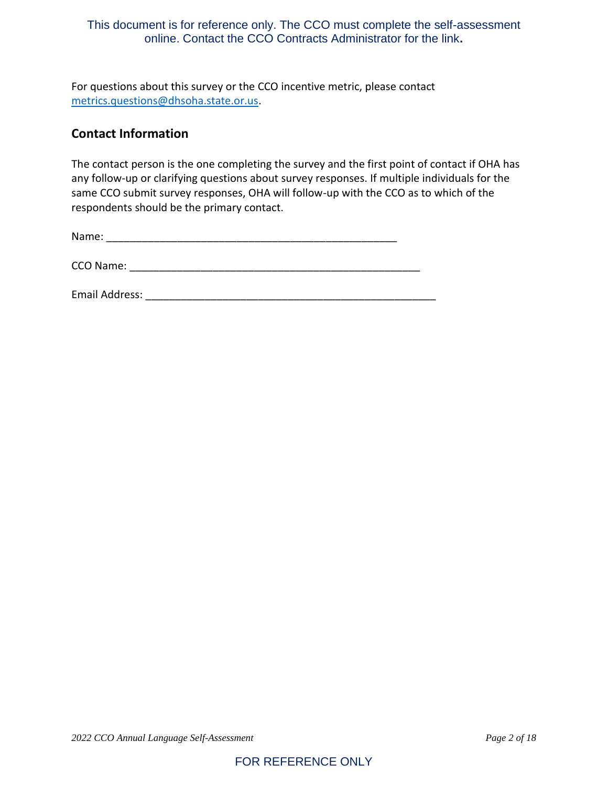For questions about this survey or the CCO incentive metric, please contact [metrics.questions@dhsoha.state.or.us.](mailto:metrics.questions@dhsoha.state.or.us)

## **Contact Information**

The contact person is the one completing the survey and the first point of contact if OHA has any follow-up or clarifying questions about survey responses. If multiple individuals for the same CCO submit survey responses, OHA will follow-up with the CCO as to which of the respondents should be the primary contact.

| Name: |  |  |  |  |  |
|-------|--|--|--|--|--|
|       |  |  |  |  |  |

| CCO Name: |  |
|-----------|--|
|           |  |

Email Address: \_\_\_\_\_\_\_\_\_\_\_\_\_\_\_\_\_\_\_\_\_\_\_\_\_\_\_\_\_\_\_\_\_\_\_\_\_\_\_\_\_\_\_\_\_\_\_\_\_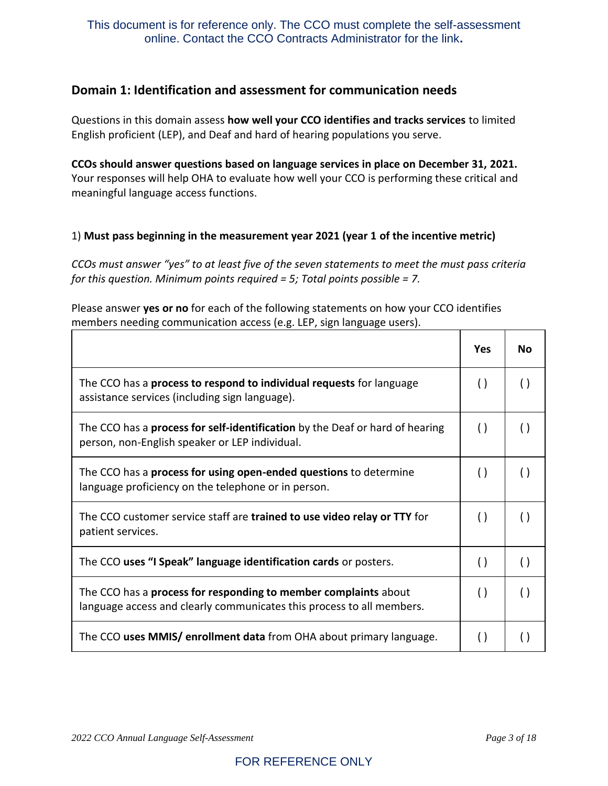## **Domain 1: Identification and assessment for communication needs**

Questions in this domain assess **how well your CCO identifies and tracks services** to limited English proficient (LEP), and Deaf and hard of hearing populations you serve.

**CCOs should answer questions based on language services in place on December 31, 2021.** Your responses will help OHA to evaluate how well your CCO is performing these critical and meaningful language access functions.

#### 1) **Must pass beginning in the measurement year 2021 (year 1 of the incentive metric)**

*CCOs must answer "yes" to at least five of the seven statements to meet the must pass criteria for this question. Minimum points required = 5; Total points possible = 7.*

Please answer **yes or no** for each of the following statements on how your CCO identifies members needing communication access (e.g. LEP, sign language users).

|                                                                                                                                          | Yes                | Nο                 |
|------------------------------------------------------------------------------------------------------------------------------------------|--------------------|--------------------|
| The CCO has a <b>process to respond to individual requests</b> for language<br>assistance services (including sign language).            | $\left( \ \right)$ | $\left( \ \right)$ |
| The CCO has a <b>process for self-identification</b> by the Deaf or hard of hearing<br>person, non-English speaker or LEP individual.    | $\left( \ \right)$ | $\left(\ \right)$  |
| The CCO has a <b>process for using open-ended questions</b> to determine<br>language proficiency on the telephone or in person.          | $\left( \ \right)$ |                    |
| The CCO customer service staff are trained to use video relay or TTY for<br>patient services.                                            | $\left( \right)$   | $\left( \ \right)$ |
| The CCO uses "I Speak" language identification cards or posters.                                                                         | $\left( \ \right)$ | $\left(\ \right)$  |
| The CCO has a process for responding to member complaints about<br>language access and clearly communicates this process to all members. | $\left( \ \right)$ | $\left( \ \right)$ |
| The CCO uses MMIS/ enrollment data from OHA about primary language.                                                                      | $\left( \ \right)$ |                    |

 $\overline{\mathbf{1}}$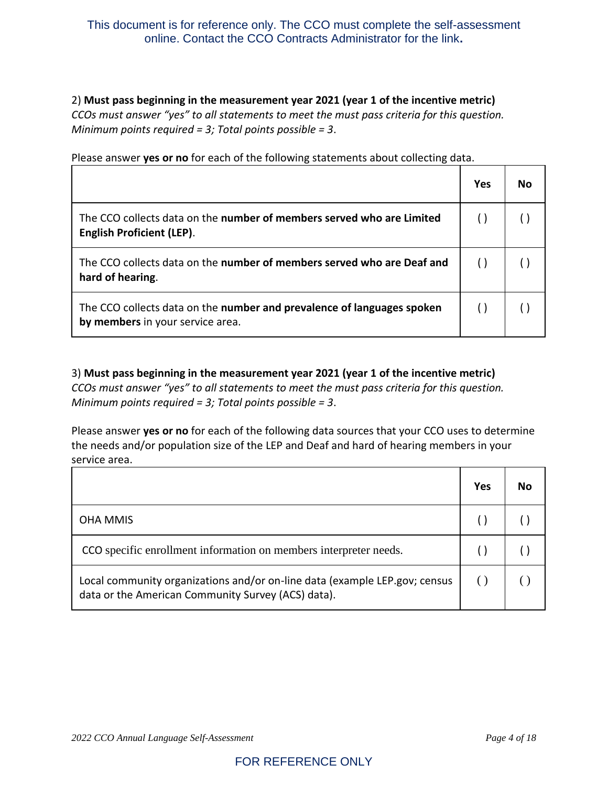2) **Must pass beginning in the measurement year 2021 (year 1 of the incentive metric)** *CCOs must answer "yes" to all statements to meet the must pass criteria for this question. Minimum points required = 3; Total points possible = 3*.

|                                                                                                            | <b>Yes</b> | No |
|------------------------------------------------------------------------------------------------------------|------------|----|
| The CCO collects data on the number of members served who are Limited<br><b>English Proficient (LEP).</b>  |            |    |
| The CCO collects data on the number of members served who are Deaf and<br>hard of hearing.                 |            |    |
| The CCO collects data on the number and prevalence of languages spoken<br>by members in your service area. |            |    |

Please answer **yes or no** for each of the following statements about collecting data.

3) **Must pass beginning in the measurement year 2021 (year 1 of the incentive metric)** *CCOs must answer "yes" to all statements to meet the must pass criteria for this question. Minimum points required = 3; Total points possible = 3*.

Please answer **yes or no** for each of the following data sources that your CCO uses to determine the needs and/or population size of the LEP and Deaf and hard of hearing members in your service area.

|                                                                                                                                  | Yes | No |
|----------------------------------------------------------------------------------------------------------------------------------|-----|----|
| <b>OHA MMIS</b>                                                                                                                  |     |    |
| CCO specific enrollment information on members interpreter needs.                                                                |     |    |
| Local community organizations and/or on-line data (example LEP.gov; census<br>data or the American Community Survey (ACS) data). |     |    |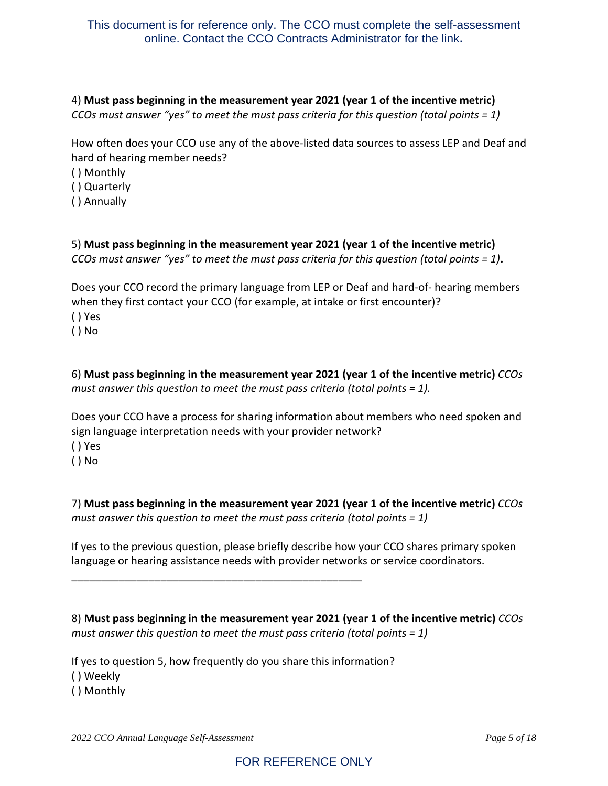## 4) **Must pass beginning in the measurement year 2021 (year 1 of the incentive metric)**

*CCOs must answer "yes" to meet the must pass criteria for this question (total points = 1)*

How often does your CCO use any of the above-listed data sources to assess LEP and Deaf and hard of hearing member needs?

- ( ) Monthly
- ( ) Quarterly
- ( ) Annually

5) **Must pass beginning in the measurement year 2021 (year 1 of the incentive metric)** *CCOs must answer "yes" to meet the must pass criteria for this question (total points = 1)***.**

Does your CCO record the primary language from LEP or Deaf and hard-of- hearing members when they first contact your CCO (for example, at intake or first encounter)? ( ) Yes

( ) No

6) **Must pass beginning in the measurement year 2021 (year 1 of the incentive metric)** *CCOs must answer this question to meet the must pass criteria (total points = 1).*

Does your CCO have a process for sharing information about members who need spoken and sign language interpretation needs with your provider network? ( ) Yes

( ) No

7) **Must pass beginning in the measurement year 2021 (year 1 of the incentive metric)** *CCOs must answer this question to meet the must pass criteria (total points = 1)*

If yes to the previous question, please briefly describe how your CCO shares primary spoken language or hearing assistance needs with provider networks or service coordinators.

8) **Must pass beginning in the measurement year 2021 (year 1 of the incentive metric)** *CCOs must answer this question to meet the must pass criteria (total points = 1)*

If yes to question 5, how frequently do you share this information? ( ) Weekly ( ) Monthly

\_\_\_\_\_\_\_\_\_\_\_\_\_\_\_\_\_\_\_\_\_\_\_\_\_\_\_\_\_\_\_\_\_\_\_\_\_\_\_\_\_\_\_\_\_\_\_\_\_

*2022 CCO Annual Language Self-Assessment Page 5 of 18*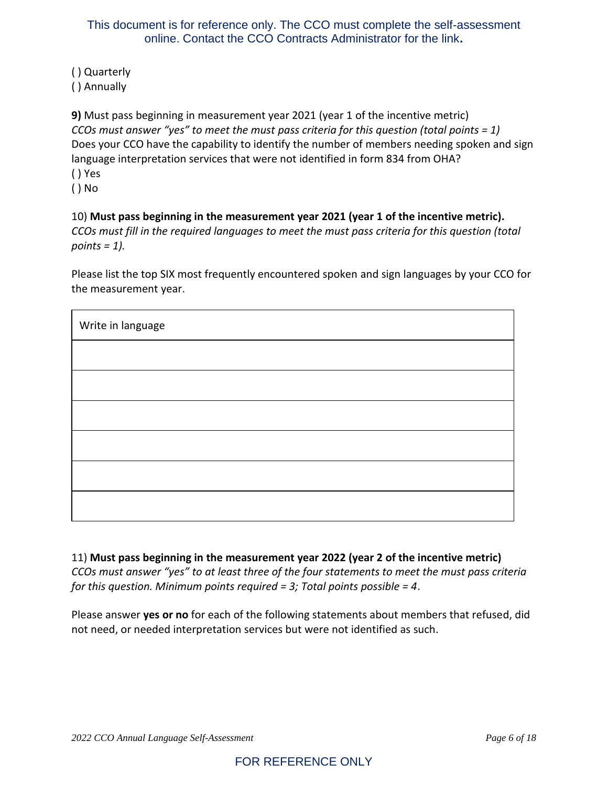( ) Quarterly ( ) Annually

**9)** Must pass beginning in measurement year 2021 (year 1 of the incentive metric) *CCOs must answer "yes" to meet the must pass criteria for this question (total points = 1)* Does your CCO have the capability to identify the number of members needing spoken and sign language interpretation services that were not identified in form 834 from OHA? ( ) Yes

( ) No

10) **Must pass beginning in the measurement year 2021 (year 1 of the incentive metric).** *CCOs must fill in the required languages to meet the must pass criteria for this question (total points = 1).*

Please list the top SIX most frequently encountered spoken and sign languages by your CCO for the measurement year.

| Write in language |  |  |
|-------------------|--|--|
|                   |  |  |
|                   |  |  |
|                   |  |  |
|                   |  |  |
|                   |  |  |
|                   |  |  |

11) **Must pass beginning in the measurement year 2022 (year 2 of the incentive metric)** *CCOs must answer "yes" to at least three of the four statements to meet the must pass criteria for this question. Minimum points required = 3; Total points possible = 4*.

Please answer **yes or no** for each of the following statements about members that refused, did not need, or needed interpretation services but were not identified as such.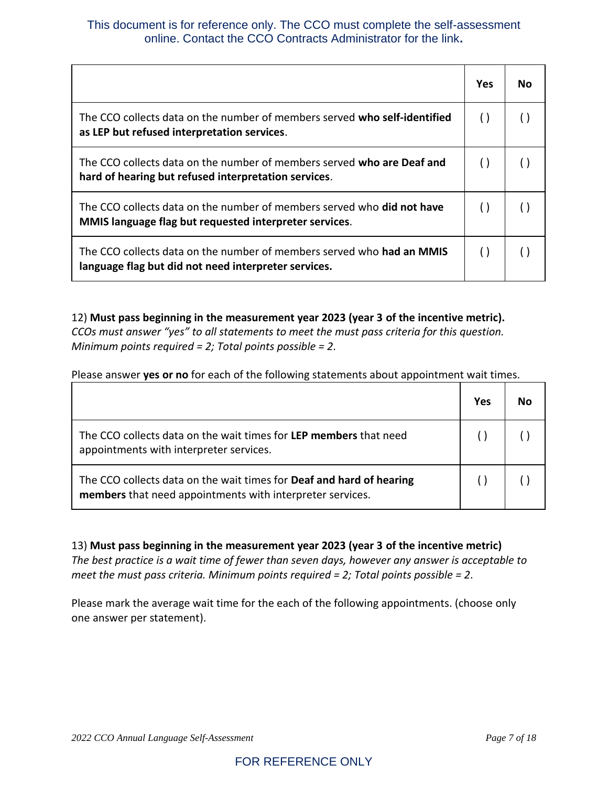|                                                                                                                                         | <b>Yes</b>         | Nο |
|-----------------------------------------------------------------------------------------------------------------------------------------|--------------------|----|
| The CCO collects data on the number of members served who self-identified<br>as LEP but refused interpretation services.                | $\left( \ \right)$ |    |
| The CCO collects data on the number of members served who are Deaf and<br>hard of hearing but refused interpretation services.          |                    |    |
| The CCO collects data on the number of members served who <b>did not have</b><br>MMIS language flag but requested interpreter services. |                    |    |
| The CCO collects data on the number of members served who <b>had an MMIS</b><br>language flag but did not need interpreter services.    | $\left( \ \right)$ |    |

12) **Must pass beginning in the measurement year 2023 (year 3 of the incentive metric).** *CCOs must answer "yes" to all statements to meet the must pass criteria for this question. Minimum points required = 2; Total points possible = 2.*

Please answer **yes or no** for each of the following statements about appointment wait times.

|                                                                                                                                   | Yes | Nο |
|-----------------------------------------------------------------------------------------------------------------------------------|-----|----|
| The CCO collects data on the wait times for LEP members that need<br>appointments with interpreter services.                      |     |    |
| The CCO collects data on the wait times for Deaf and hard of hearing<br>members that need appointments with interpreter services. |     |    |

13) **Must pass beginning in the measurement year 2023 (year 3 of the incentive metric)**

*The best practice is a wait time of fewer than seven days, however any answer is acceptable to meet the must pass criteria. Minimum points required = 2; Total points possible = 2.*

Please mark the average wait time for the each of the following appointments. (choose only one answer per statement).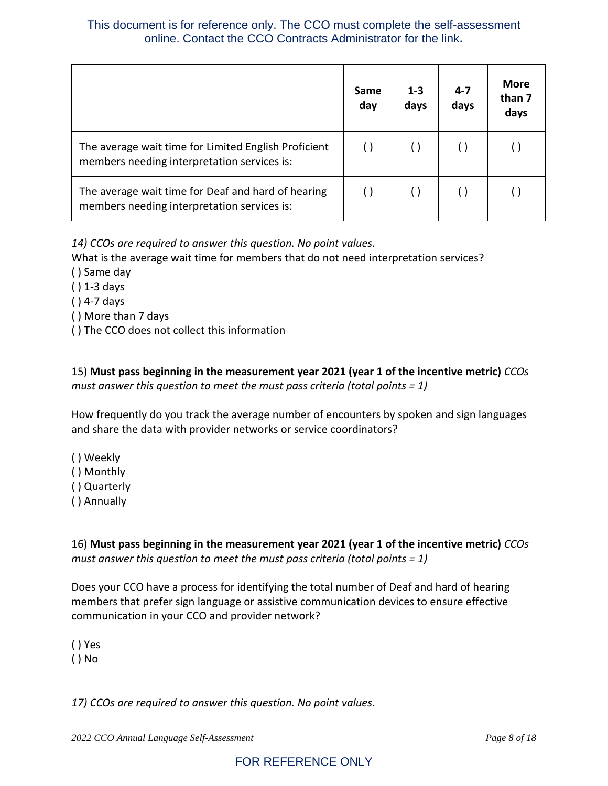|                                                                                                     | Same<br>day | $1 - 3$<br>days | $4 - 7$<br>days | <b>More</b><br>than 7<br>days |
|-----------------------------------------------------------------------------------------------------|-------------|-----------------|-----------------|-------------------------------|
| The average wait time for Limited English Proficient<br>members needing interpretation services is: |             |                 |                 |                               |
| The average wait time for Deaf and hard of hearing<br>members needing interpretation services is:   |             |                 |                 |                               |

*14) CCOs are required to answer this question. No point values.*

What is the average wait time for members that do not need interpretation services?

- ( ) Same day
- ( ) 1-3 days
- ( ) 4-7 days
- ( ) More than 7 days
- ( ) The CCO does not collect this information

15) **Must pass beginning in the measurement year 2021 (year 1 of the incentive metric)** *CCOs must answer this question to meet the must pass criteria (total points = 1)*

How frequently do you track the average number of encounters by spoken and sign languages and share the data with provider networks or service coordinators?

- ( ) Weekly
- ( ) Monthly
- ( ) Quarterly
- ( ) Annually

16) **Must pass beginning in the measurement year 2021 (year 1 of the incentive metric)** *CCOs must answer this question to meet the must pass criteria (total points = 1)*

Does your CCO have a process for identifying the total number of Deaf and hard of hearing members that prefer sign language or assistive communication devices to ensure effective communication in your CCO and provider network?

( ) Yes

( ) No

*17) CCOs are required to answer this question. No point values.*

*2022 CCO Annual Language Self-Assessment Page 8 of 18*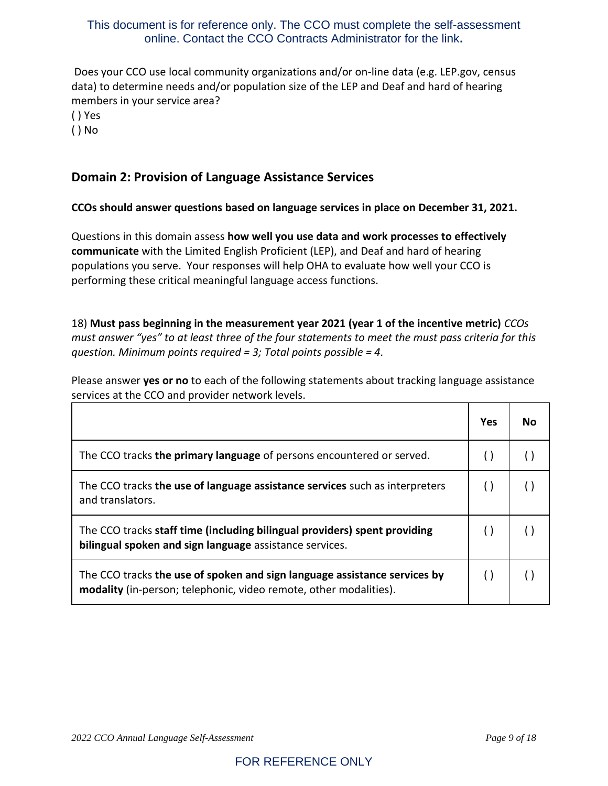Does your CCO use local community organizations and/or on-line data (e.g. LEP.gov, census data) to determine needs and/or population size of the LEP and Deaf and hard of hearing members in your service area?

( ) Yes

( ) No

## **Domain 2: Provision of Language Assistance Services**

#### **CCOs should answer questions based on language services in place on December 31, 2021.**

Questions in this domain assess **how well you use data and work processes to effectively communicate** with the Limited English Proficient (LEP), and Deaf and hard of hearing populations you serve. Your responses will help OHA to evaluate how well your CCO is performing these critical meaningful language access functions.

18) **Must pass beginning in the measurement year 2021 (year 1 of the incentive metric)** *CCOs must answer "yes" to at least three of the four statements to meet the must pass criteria for this question. Minimum points required = 3; Total points possible = 4.*

Please answer **yes or no** to each of the following statements about tracking language assistance services at the CCO and provider network levels.

|                                                                                                                                                | <b>Yes</b> | N٥ |
|------------------------------------------------------------------------------------------------------------------------------------------------|------------|----|
| The CCO tracks the primary language of persons encountered or served.                                                                          |            |    |
| The CCO tracks the use of language assistance services such as interpreters<br>and translators.                                                |            |    |
| The CCO tracks staff time (including bilingual providers) spent providing<br>bilingual spoken and sign language assistance services.           |            |    |
| The CCO tracks the use of spoken and sign language assistance services by<br>modality (in-person; telephonic, video remote, other modalities). |            |    |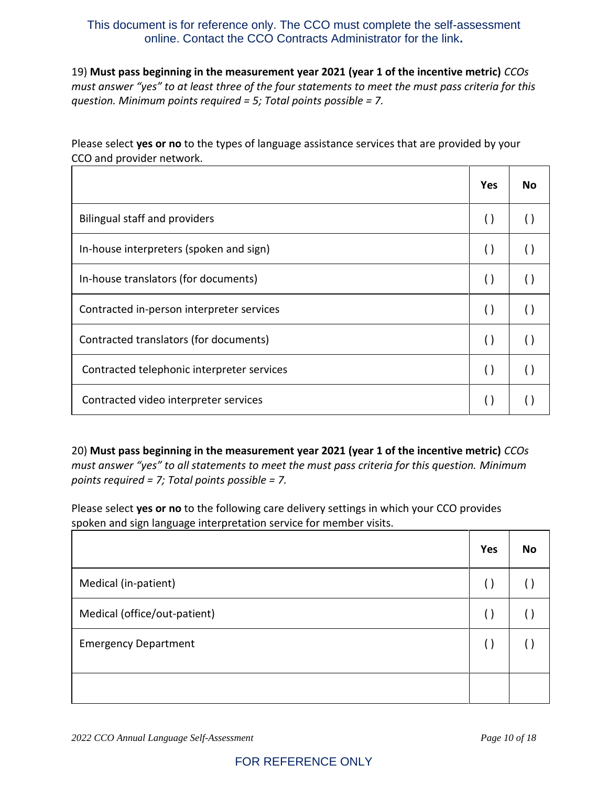19) **Must pass beginning in the measurement year 2021 (year 1 of the incentive metric)** *CCOs must answer "yes" to at least three of the four statements to meet the must pass criteria for this question. Minimum points required = 5; Total points possible = 7.*

Please select **yes or no** to the types of language assistance services that are provided by your CCO and provider network.

|                                            | Yes                | No |
|--------------------------------------------|--------------------|----|
| Bilingual staff and providers              | $\left( \ \right)$ |    |
| In-house interpreters (spoken and sign)    | $\left( \ \right)$ |    |
| In-house translators (for documents)       | $\left( \ \right)$ |    |
| Contracted in-person interpreter services  | $\left( \ \right)$ |    |
| Contracted translators (for documents)     | $\left( \ \right)$ |    |
| Contracted telephonic interpreter services | $\left( \ \right)$ |    |
| Contracted video interpreter services      | ( )                |    |

20) **Must pass beginning in the measurement year 2021 (year 1 of the incentive metric)** *CCOs must answer "yes" to all statements to meet the must pass criteria for this question. Minimum points required = 7; Total points possible = 7.*

Please select **yes or no** to the following care delivery settings in which your CCO provides spoken and sign language interpretation service for member visits.

|                              | Yes | <b>No</b> |
|------------------------------|-----|-----------|
| Medical (in-patient)         |     |           |
| Medical (office/out-patient) |     |           |
| <b>Emergency Department</b>  |     |           |
|                              |     |           |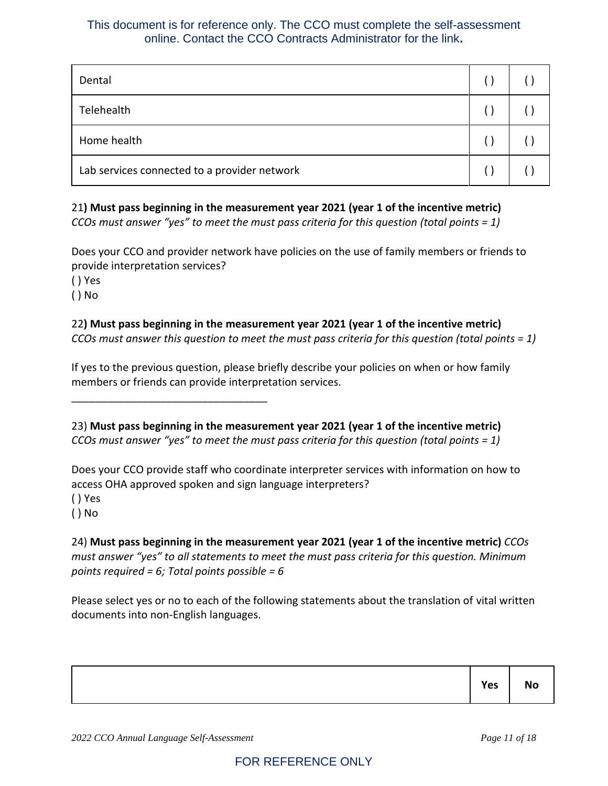| Dental                                       |  |
|----------------------------------------------|--|
| Telehealth                                   |  |
| Home health                                  |  |
| Lab services connected to a provider network |  |

21**) Must pass beginning in the measurement year 2021 (year 1 of the incentive metric)** *CCOs must answer "yes" to meet the must pass criteria for this question (total points = 1)*

Does your CCO and provider network have policies on the use of family members or friends to provide interpretation services?

( ) Yes

( ) No

## 22**) Must pass beginning in the measurement year 2021 (year 1 of the incentive metric)**

*CCOs must answer this question to meet the must pass criteria for this question (total points = 1)*

If yes to the previous question, please briefly describe your policies on when or how family members or friends can provide interpretation services.

23) **Must pass beginning in the measurement year 2021 (year 1 of the incentive metric)** *CCOs must answer "yes" to meet the must pass criteria for this question (total points = 1)*

Does your CCO provide staff who coordinate interpreter services with information on how to access OHA approved spoken and sign language interpreters?

( ) Yes

( ) No

24) **Must pass beginning in the measurement year 2021 (year 1 of the incentive metric)** *CCOs must answer "yes" to all statements to meet the must pass criteria for this question. Minimum points required = 6; Total points possible = 6*

Please select yes or no to each of the following statements about the translation of vital written documents into non-English languages.

| Yes | <b>No</b> |
|-----|-----------|
|-----|-----------|

\_\_\_\_\_\_\_\_\_\_\_\_\_\_\_\_\_\_\_\_\_\_\_\_\_\_\_\_\_\_\_\_\_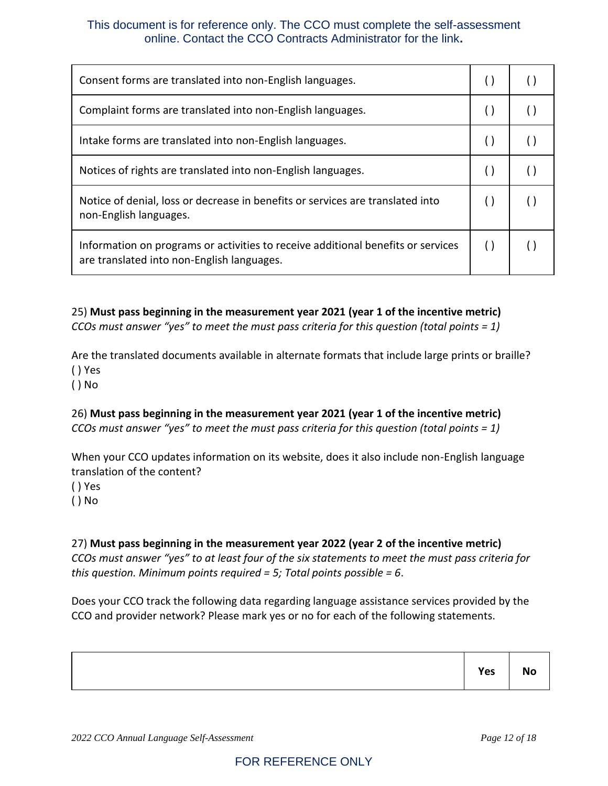| Consent forms are translated into non-English languages.                                                                       |        |  |
|--------------------------------------------------------------------------------------------------------------------------------|--------|--|
| Complaint forms are translated into non-English languages.                                                                     |        |  |
| Intake forms are translated into non-English languages.                                                                        |        |  |
| Notices of rights are translated into non-English languages.                                                                   | $\Box$ |  |
| Notice of denial, loss or decrease in benefits or services are translated into<br>non-English languages.                       |        |  |
| Information on programs or activities to receive additional benefits or services<br>are translated into non-English languages. |        |  |

25) **Must pass beginning in the measurement year 2021 (year 1 of the incentive metric)** *CCOs must answer "yes" to meet the must pass criteria for this question (total points = 1)*

Are the translated documents available in alternate formats that include large prints or braille? ( ) Yes

( ) No

26) **Must pass beginning in the measurement year 2021 (year 1 of the incentive metric)** *CCOs must answer "yes" to meet the must pass criteria for this question (total points = 1)*

When your CCO updates information on its website, does it also include non-English language translation of the content? ( ) Yes

( ) No

#### 27) **Must pass beginning in the measurement year 2022 (year 2 of the incentive metric)**

*CCOs must answer "yes" to at least four of the six statements to meet the must pass criteria for this question. Minimum points required = 5; Total points possible = 6*.

Does your CCO track the following data regarding language assistance services provided by the CCO and provider network? Please mark yes or no for each of the following statements.

| Yes |
|-----|
|-----|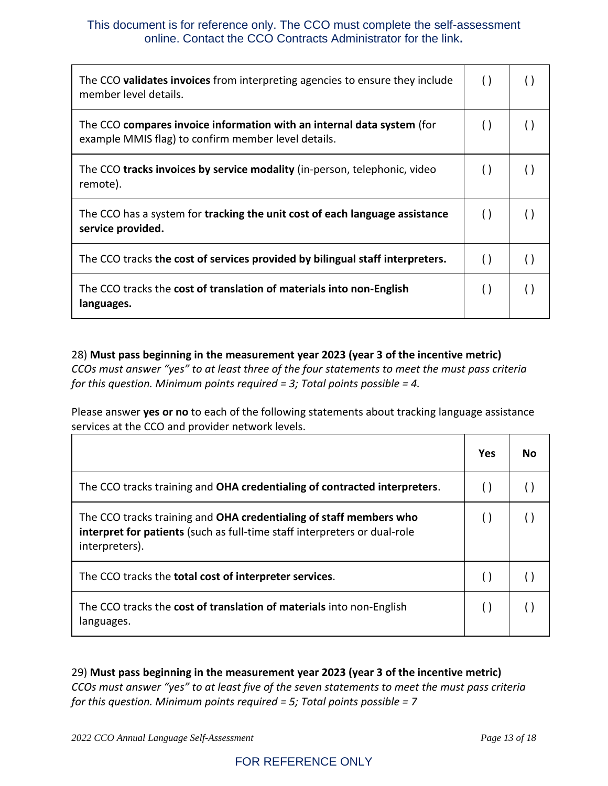| The CCO validates invoices from interpreting agencies to ensure they include<br>member level details.                         | $\left( \ \right)$ |     |
|-------------------------------------------------------------------------------------------------------------------------------|--------------------|-----|
| The CCO compares invoice information with an internal data system (for<br>example MMIS flag) to confirm member level details. |                    | ( ) |
| The CCO tracks invoices by service modality (in-person, telephonic, video<br>remote).                                         |                    |     |
| The CCO has a system for tracking the unit cost of each language assistance<br>service provided.                              | $\left( \right)$   | ( ) |
| The CCO tracks the cost of services provided by bilingual staff interpreters.                                                 | $\left( \right)$   | ( ) |
| The CCO tracks the cost of translation of materials into non-English<br>languages.                                            | $\left( \ \right)$ |     |

28) **Must pass beginning in the measurement year 2023 (year 3 of the incentive metric)** *CCOs must answer "yes" to at least three of the four statements to meet the must pass criteria for this question. Minimum points required = 3; Total points possible = 4.*

Please answer **yes or no** to each of the following statements about tracking language assistance services at the CCO and provider network levels.

|                                                                                                                                                                   | Yes | N٥ |
|-------------------------------------------------------------------------------------------------------------------------------------------------------------------|-----|----|
| The CCO tracks training and OHA credentialing of contracted interpreters.                                                                                         |     |    |
| The CCO tracks training and OHA credentialing of staff members who<br>interpret for patients (such as full-time staff interpreters or dual-role<br>interpreters). |     |    |
| The CCO tracks the total cost of interpreter services.                                                                                                            |     |    |
| The CCO tracks the cost of translation of materials into non-English<br>languages.                                                                                |     |    |

29) **Must pass beginning in the measurement year 2023 (year 3 of the incentive metric)** *CCOs must answer "yes" to at least five of the seven statements to meet the must pass criteria for this question. Minimum points required = 5; Total points possible = 7*

*2022 CCO Annual Language Self-Assessment Page 13 of 18*

## FOR REFERENCE ONLY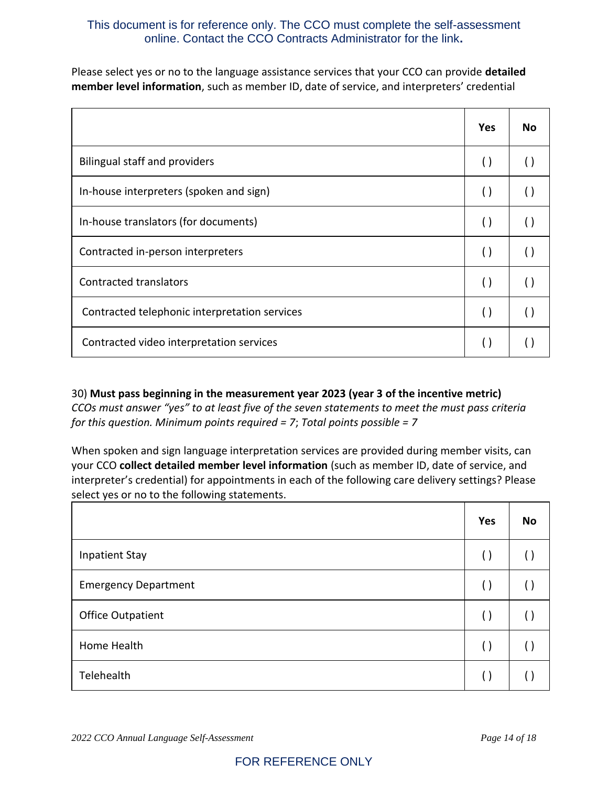Please select yes or no to the language assistance services that your CCO can provide **detailed member level information**, such as member ID, date of service, and interpreters' credential

|                                               | <b>Yes</b>         | <b>No</b> |
|-----------------------------------------------|--------------------|-----------|
| <b>Bilingual staff and providers</b>          | $\left( \right)$   | ( )       |
| In-house interpreters (spoken and sign)       | $\left( \right)$   |           |
| In-house translators (for documents)          | $\left( \right)$   | $(\ )$    |
| Contracted in-person interpreters             | $\left( \right)$   |           |
| <b>Contracted translators</b>                 | $\left( \ \right)$ | $(\ )$    |
| Contracted telephonic interpretation services | $\left( \right)$   |           |
| Contracted video interpretation services      |                    |           |

30) **Must pass beginning in the measurement year 2023 (year 3 of the incentive metric)** *CCOs must answer "yes" to at least five of the seven statements to meet the must pass criteria for this question. Minimum points required = 7*; *Total points possible = 7*

When spoken and sign language interpretation services are provided during member visits, can your CCO **collect detailed member level information** (such as member ID, date of service, and interpreter's credential) for appointments in each of the following care delivery settings? Please select yes or no to the following statements.

|                             | Yes                | No     |
|-----------------------------|--------------------|--------|
| <b>Inpatient Stay</b>       | $\left( \ \right)$ | ( )    |
| <b>Emergency Department</b> | $\left( \ \right)$ |        |
| <b>Office Outpatient</b>    | $\left( \ \right)$ | $(\ )$ |
| Home Health                 | $\left( \ \right)$ | $\Box$ |
| Telehealth                  |                    |        |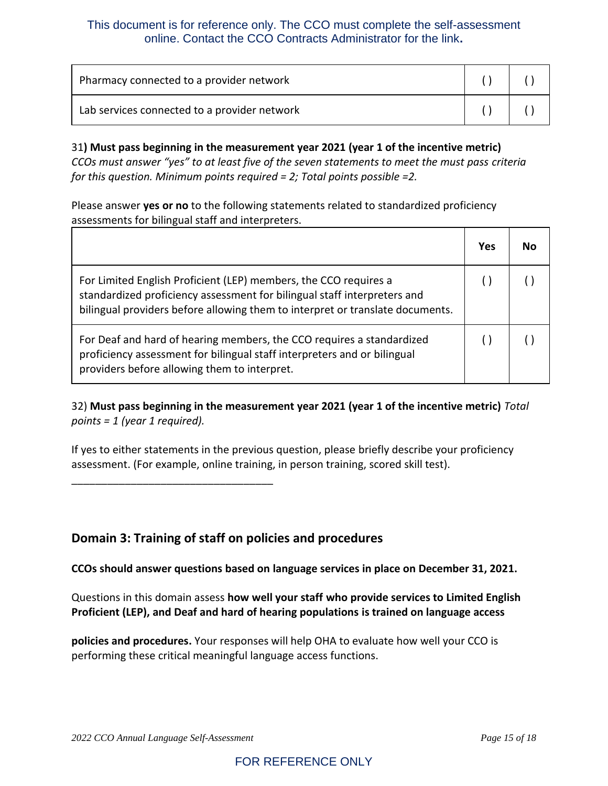| Pharmacy connected to a provider network     |  |
|----------------------------------------------|--|
| Lab services connected to a provider network |  |

31**) Must pass beginning in the measurement year 2021 (year 1 of the incentive metric)** *CCOs must answer "yes" to at least five of the seven statements to meet the must pass criteria for this question. Minimum points required = 2; Total points possible =2.*

Please answer **yes or no** to the following statements related to standardized proficiency assessments for bilingual staff and interpreters.

|                                                                                                                                                                                                                               | Yes | Nω |
|-------------------------------------------------------------------------------------------------------------------------------------------------------------------------------------------------------------------------------|-----|----|
| For Limited English Proficient (LEP) members, the CCO requires a<br>standardized proficiency assessment for bilingual staff interpreters and<br>bilingual providers before allowing them to interpret or translate documents. |     |    |
| For Deaf and hard of hearing members, the CCO requires a standardized<br>proficiency assessment for bilingual staff interpreters and or bilingual<br>providers before allowing them to interpret.                             |     |    |

32) **Must pass beginning in the measurement year 2021 (year 1 of the incentive metric)** *Total points = 1 (year 1 required).*

If yes to either statements in the previous question, please briefly describe your proficiency assessment. (For example, online training, in person training, scored skill test).

**Domain 3: Training of staff on policies and procedures**

**CCOs should answer questions based on language services in place on December 31, 2021.** 

Questions in this domain assess **how well your staff who provide services to Limited English Proficient (LEP), and Deaf and hard of hearing populations is trained on language access** 

**policies and procedures.** Your responses will help OHA to evaluate how well your CCO is performing these critical meaningful language access functions.

\_\_\_\_\_\_\_\_\_\_\_\_\_\_\_\_\_\_\_\_\_\_\_\_\_\_\_\_\_\_\_\_\_\_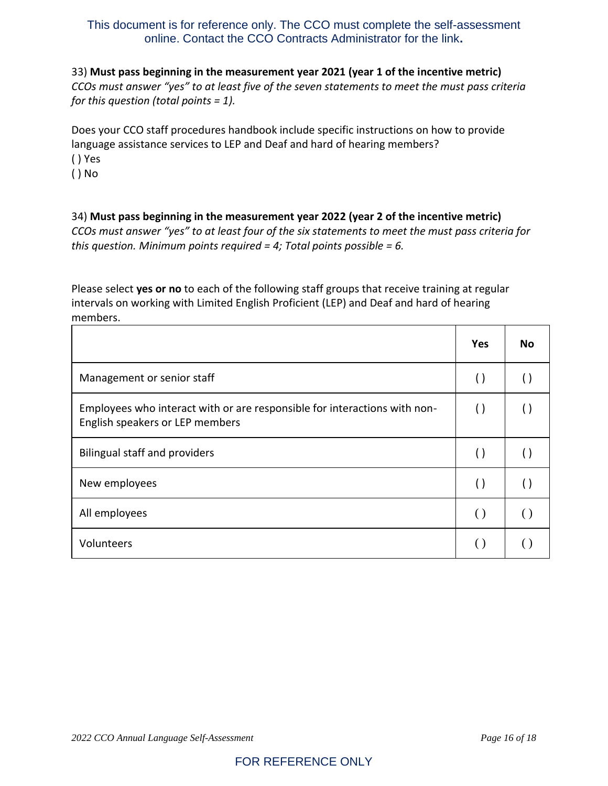## 33) **Must pass beginning in the measurement year 2021 (year 1 of the incentive metric)** *CCOs must answer "yes" to at least five of the seven statements to meet the must pass criteria for this question (total points = 1).*

Does your CCO staff procedures handbook include specific instructions on how to provide language assistance services to LEP and Deaf and hard of hearing members? ( ) Yes

( ) No

34) **Must pass beginning in the measurement year 2022 (year 2 of the incentive metric)** *CCOs must answer "yes" to at least four of the six statements to meet the must pass criteria for this question. Minimum points required = 4; Total points possible = 6.*

Please select **yes or no** to each of the following staff groups that receive training at regular intervals on working with Limited English Proficient (LEP) and Deaf and hard of hearing members.

|                                                                                                              | <b>Yes</b>         | No. |
|--------------------------------------------------------------------------------------------------------------|--------------------|-----|
| Management or senior staff                                                                                   | $\left( \ \right)$ |     |
| Employees who interact with or are responsible for interactions with non-<br>English speakers or LEP members | $\left( \ \right)$ |     |
| <b>Bilingual staff and providers</b>                                                                         | $\left( \ \right)$ |     |
| New employees                                                                                                | $\left( \ \right)$ |     |
| All employees                                                                                                | $\left( \right)$   |     |
| Volunteers                                                                                                   |                    |     |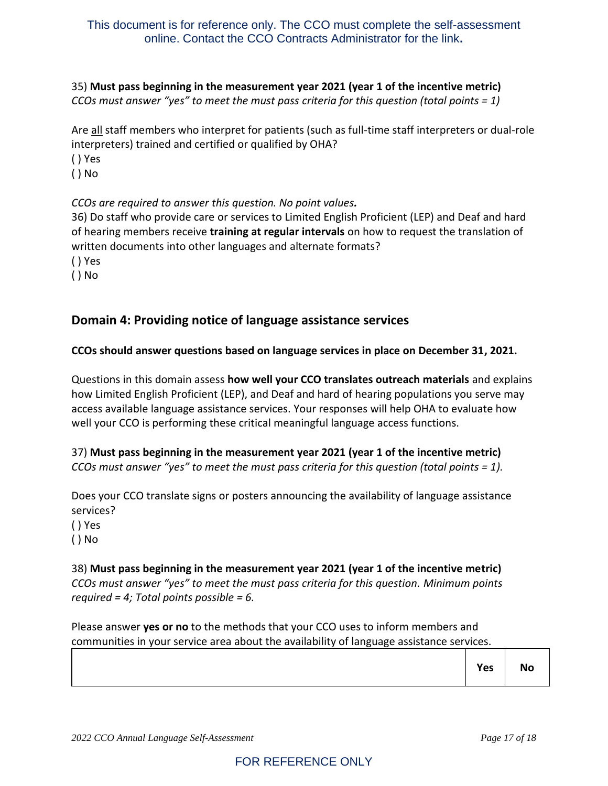35) **Must pass beginning in the measurement year 2021 (year 1 of the incentive metric)** *CCOs must answer "yes" to meet the must pass criteria for this question (total points = 1)*

Are all staff members who interpret for patients (such as full-time staff interpreters or dual-role interpreters) trained and certified or qualified by OHA?

( ) Yes

( ) No

*CCOs are required to answer this question. No point values.*

36) Do staff who provide care or services to Limited English Proficient (LEP) and Deaf and hard of hearing members receive **training at regular intervals** on how to request the translation of written documents into other languages and alternate formats?

( ) Yes

( ) No

## **Domain 4: Providing notice of language assistance services**

#### **CCOs should answer questions based on language services in place on December 31, 2021.**

Questions in this domain assess **how well your CCO translates outreach materials** and explains how Limited English Proficient (LEP), and Deaf and hard of hearing populations you serve may access available language assistance services. Your responses will help OHA to evaluate how well your CCO is performing these critical meaningful language access functions.

37) **Must pass beginning in the measurement year 2021 (year 1 of the incentive metric)** *CCOs must answer "yes" to meet the must pass criteria for this question (total points = 1).*

Does your CCO translate signs or posters announcing the availability of language assistance services?

( ) Yes

( ) No

#### 38) **Must pass beginning in the measurement year 2021 (year 1 of the incentive metric)**

*CCOs must answer "yes" to meet the must pass criteria for this question. Minimum points required = 4; Total points possible = 6.*

Please answer **yes or no** to the methods that your CCO uses to inform members and communities in your service area about the availability of language assistance services.

|  | $\vert$ Yes $\vert$ No |
|--|------------------------|
|  |                        |

т